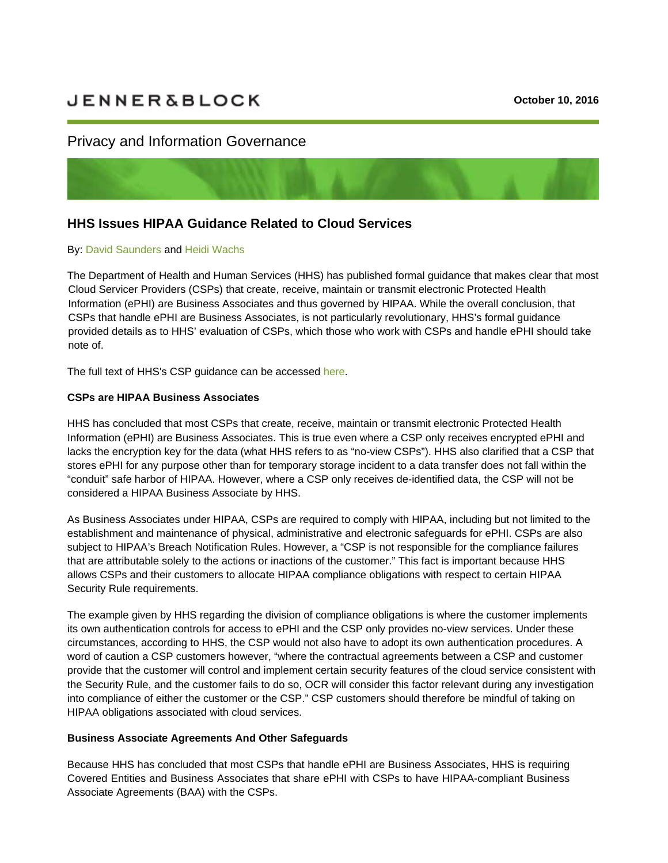# **JENNER&BLOCK**

## Privacy and Information Governance



# **HHS Issues HIPAA Guidance Related to Cloud Services**

#### By: [David Saunders](https://jenner.com/people/DavidSaunders) and [Heidi Wachs](https://jenner.com/people/HeidiWachs)

The Department of Health and Human Services (HHS) has published formal guidance that makes clear that most Cloud Servicer Providers (CSPs) that create, receive, maintain or transmit electronic Protected Health Information (ePHI) are Business Associates and thus governed by HIPAA. While the overall conclusion, that CSPs that handle ePHI are Business Associates, is not particularly revolutionary, HHS's formal guidance provided details as to HHS' evaluation of CSPs, which those who work with CSPs and handle ePHI should take note of.

The full text of HHS's CSP guidance can be accessed [here.](http://www.hhs.gov/hipaa/for-professionals/special-topics/cloud-computing/index.html)

#### **CSPs are HIPAA Business Associates**

HHS has concluded that most CSPs that create, receive, maintain or transmit electronic Protected Health Information (ePHI) are Business Associates. This is true even where a CSP only receives encrypted ePHI and lacks the encryption key for the data (what HHS refers to as "no-view CSPs"). HHS also clarified that a CSP that stores ePHI for any purpose other than for temporary storage incident to a data transfer does not fall within the "conduit" safe harbor of HIPAA. However, where a CSP only receives de-identified data, the CSP will not be considered a HIPAA Business Associate by HHS.

As Business Associates under HIPAA, CSPs are required to comply with HIPAA, including but not limited to the establishment and maintenance of physical, administrative and electronic safeguards for ePHI. CSPs are also subject to HIPAA's Breach Notification Rules. However, a "CSP is not responsible for the compliance failures that are attributable solely to the actions or inactions of the customer." This fact is important because HHS allows CSPs and their customers to allocate HIPAA compliance obligations with respect to certain HIPAA Security Rule requirements.

The example given by HHS regarding the division of compliance obligations is where the customer implements its own authentication controls for access to ePHI and the CSP only provides no-view services. Under these circumstances, according to HHS, the CSP would not also have to adopt its own authentication procedures. A word of caution a CSP customers however, "where the contractual agreements between a CSP and customer provide that the customer will control and implement certain security features of the cloud service consistent with the Security Rule, and the customer fails to do so, OCR will consider this factor relevant during any investigation into compliance of either the customer or the CSP." CSP customers should therefore be mindful of taking on HIPAA obligations associated with cloud services.

#### **Business Associate Agreements And Other Safeguards**

Because HHS has concluded that most CSPs that handle ePHI are Business Associates, HHS is requiring Covered Entities and Business Associates that share ePHI with CSPs to have HIPAA-compliant Business Associate Agreements (BAA) with the CSPs.